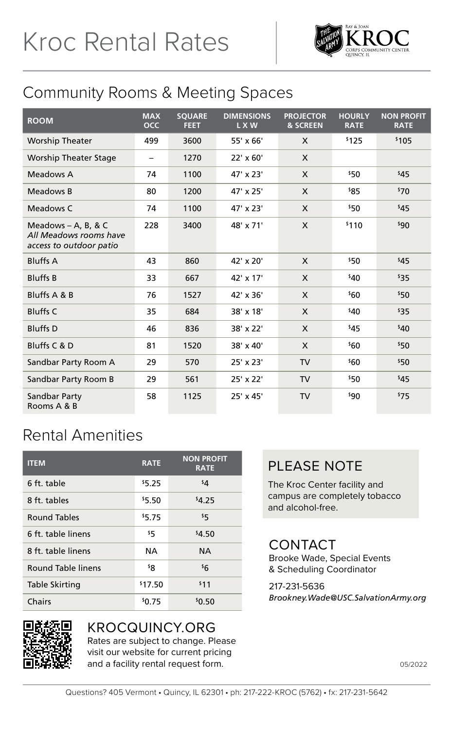

## Community Rooms & Meeting Spaces

| <b>ROOM</b>                                                                | <b>MAX</b><br><b>OCC</b> | <b>SQUARE</b><br><b>FEET</b> | <b>DIMENSIONS</b><br>L X W | <b>PROJECTOR</b><br><b>&amp; SCREEN</b> | <b>HOURLY</b><br><b>RATE</b> | <b>NON PROFIT</b><br><b>RATE</b> |
|----------------------------------------------------------------------------|--------------------------|------------------------------|----------------------------|-----------------------------------------|------------------------------|----------------------------------|
| <b>Worship Theater</b>                                                     | 499                      | 3600                         | 55' x 66'                  | X                                       | \$125                        | \$105                            |
| <b>Worship Theater Stage</b>                                               | -                        | 1270                         | 22' x 60'                  | X                                       |                              |                                  |
| Meadows A                                                                  | 74                       | 1100                         | $47' \times 23'$           | X                                       | \$50                         | 545                              |
| Meadows B                                                                  | 80                       | 1200                         | 47' x 25'                  | X                                       | \$85                         | 570                              |
| Meadows C                                                                  | 74                       | 1100                         | 47' x 23'                  | X                                       | \$50                         | 545                              |
| Meadows $-$ A, B, & C<br>All Meadows rooms have<br>access to outdoor patio | 228                      | 3400                         | 48' x 71'                  | X                                       | \$110                        | 90 <sup>°</sup>                  |
| <b>Bluffs A</b>                                                            | 43                       | 860                          | 42' x 20'                  | X                                       | $50^{\circ}$                 | 545                              |
| <b>Bluffs B</b>                                                            | 33                       | 667                          | 42' x 17'                  | X                                       | \$40                         | \$35                             |
| Bluffs A & B                                                               | 76                       | 1527                         | 42' x 36'                  | X                                       | \$60                         | \$50                             |
| <b>Bluffs C</b>                                                            | 35                       | 684                          | 38' x 18'                  | X                                       | \$40                         | \$35                             |
| <b>Bluffs</b> D                                                            | 46                       | 836                          | 38' x 22'                  | X                                       | 545                          | 540                              |
| Bluffs C & D                                                               | 81                       | 1520                         | 38' x 40'                  | X                                       | \$60                         | \$50                             |
| Sandbar Party Room A                                                       | 29                       | 570                          | 25' x 23'                  | TV                                      | \$60                         | \$50                             |
| Sandbar Party Room B                                                       | 29                       | 561                          | 25' x 22'                  | <b>TV</b>                               | \$50                         | 545                              |
| Sandbar Party<br>Rooms A & B                                               | 58                       | 1125                         | 25' x 45'                  | <b>TV</b>                               | \$90                         | 575                              |

## Rental Amenities

| <b>ITEM</b>        | <b>RATE</b> | <b>NON PROFIT</b><br><b>RATE</b> |
|--------------------|-------------|----------------------------------|
| 6 ft. table        | \$5.25      | $4^{\circ}$                      |
| 8 ft. tables       | \$5.50      | \$4.25                           |
| Round Tables       | \$5.75      | 55                               |
| 6 ft. table linens | \$5         | \$4.50                           |
| 8 ft. table linens | NA          | <b>NA</b>                        |
| Round Table linens | ş۶          | \$6                              |
| Table Skirting     | \$17.50     | \$11                             |
| Chairs             | \$0.75      | \$0.50                           |

## PLEASE NOTE

The Kroc Center facility and campus are completely tobacco and alcohol-free.

## **CONTACT**

Brooke Wade, Special Events & Scheduling Coordinator

#### 217-231-5636 *Brookney.Wade@USC.SalvationArmy.org*



#### KROCQUINCY.ORG

Rates are subject to change. Please visit our website for current pricing and a facility rental request form.

05/2022